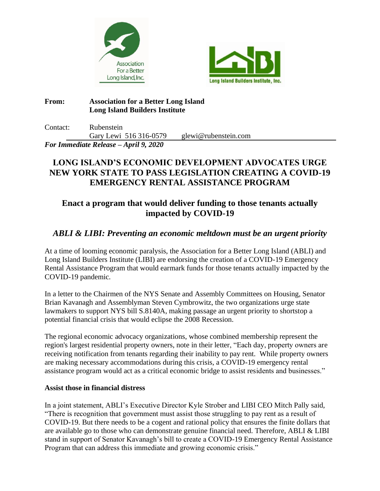



## **From: Association for a Better Long Island Long Island Builders Institute**

Contact: Rubenstein Gary Lewi 516 316-0579 glewi@rubenstein.com

*For Immediate Release – April 9, 2020*

# **LONG ISLAND'S ECONOMIC DEVELOPMENT ADVOCATES URGE NEW YORK STATE TO PASS LEGISLATION CREATING A COVID-19 EMERGENCY RENTAL ASSISTANCE PROGRAM**

# **Enact a program that would deliver funding to those tenants actually impacted by COVID-19**

## *ABLI & LIBI: Preventing an economic meltdown must be an urgent priority*

At a time of looming economic paralysis, the Association for a Better Long Island (ABLI) and Long Island Builders Institute (LIBI) are endorsing the creation of a COVID-19 Emergency Rental Assistance Program that would earmark funds for those tenants actually impacted by the COVID-19 pandemic.

In a letter to the Chairmen of the NYS Senate and Assembly Committees on Housing, Senator Brian Kavanagh and Assemblyman Steven Cymbrowitz, the two organizations urge state lawmakers to support NYS bill S.8140A, making passage an urgent priority to shortstop a potential financial crisis that would eclipse the 2008 Recession.

The regional economic advocacy organizations, whose combined membership represent the region's largest residential property owners, note in their letter, "Each day, property owners are receiving notification from tenants regarding their inability to pay rent. While property owners are making necessary accommodations during this crisis, a COVID-19 emergency rental assistance program would act as a critical economic bridge to assist residents and businesses."

### **Assist those in financial distress**

In a joint statement, ABLI's Executive Director Kyle Strober and LIBI CEO Mitch Pally said, "There is recognition that government must assist those struggling to pay rent as a result of COVID-19. But there needs to be a cogent and rational policy that ensures the finite dollars that are available go to those who can demonstrate genuine financial need. Therefore, ABLI & LIBI stand in support of Senator Kavanagh's bill to create a COVID-19 Emergency Rental Assistance Program that can address this immediate and growing economic crisis."